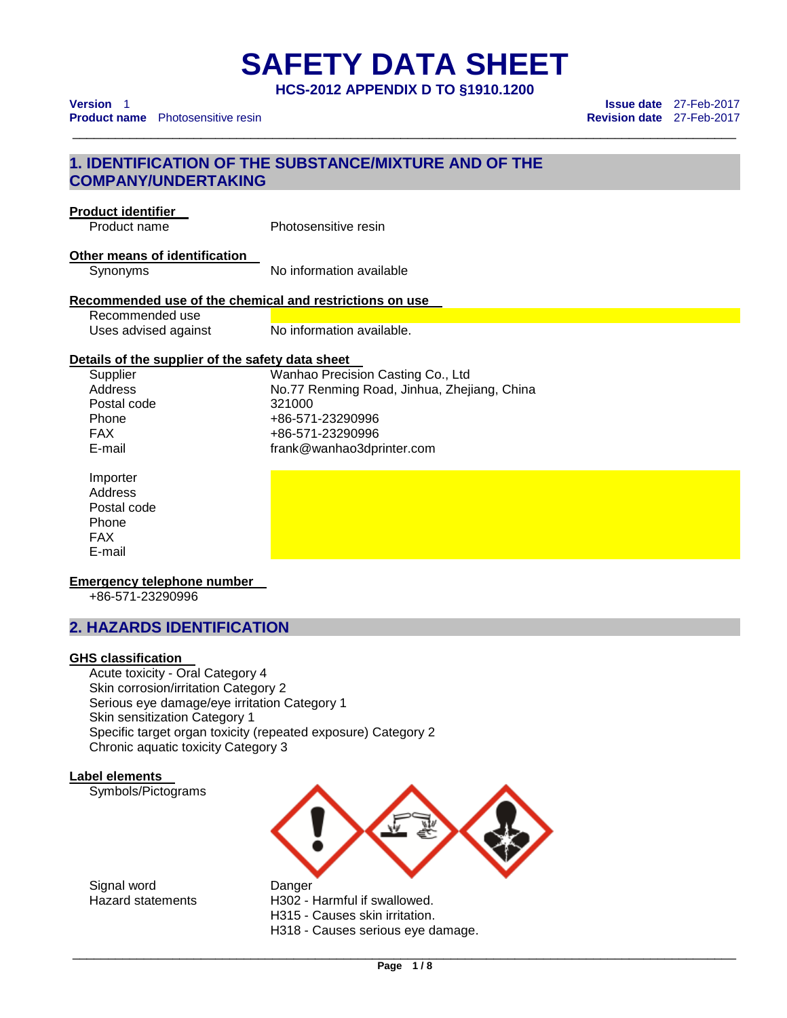**HCS-2012 APPENDIX D TO §1910.1200** 

\_\_\_\_\_\_\_\_\_\_\_\_\_\_\_\_\_\_\_\_\_\_\_\_\_\_\_\_\_\_\_\_\_\_\_\_\_\_\_\_\_\_\_\_\_\_\_\_\_\_\_\_\_\_\_\_\_\_\_\_\_\_\_\_\_\_\_\_\_\_\_\_\_\_\_\_\_\_\_\_\_\_\_\_\_\_\_\_\_\_\_\_\_

# **1. IDENTIFICATION OF THE SUBSTANCE/MIXTURE AND OF THE COMPANY/UNDERTAKING**

# **Product identifier**

Product name Photosensitive resin

## **Other means of identification**

Synonyms No information available

## **Recommended use of the chemical and restrictions on use**

| Recommended use      |                           |
|----------------------|---------------------------|
| Uses advised against | No information available. |

## **Details of the supplier of the safety data sheet**

Postal code 321000

Supplier Wanhao Precision Casting Co., Ltd<br>Address No.77 Renming Road, Jinhua, Zhei No.77 Renming Road, Jinhua, Zhejiang, China Phone +86-571-23290996 FAX +86-571-23290996 E-mail frank@wanhao3dprinter.com

Importer **Address** Postal code Phone FAX E-mail

## **Emergency telephone number**

+86-571-23290996

# **2. HAZARDS IDENTIFICATION**

## **GHS classification**

Acute toxicity - Oral Category 4 Skin corrosion/irritation Category 2 Serious eye damage/eye irritation Category 1 Skin sensitization Category 1 Specific target organ toxicity (repeated exposure) Category 2 Chronic aquatic toxicity Category 3

## **Label elements**

Symbols/Pictograms



Signal word Danger

Hazard statements H302 - Harmful if swallowed.

H315 - Causes skin irritation.

H318 - Causes serious eye damage.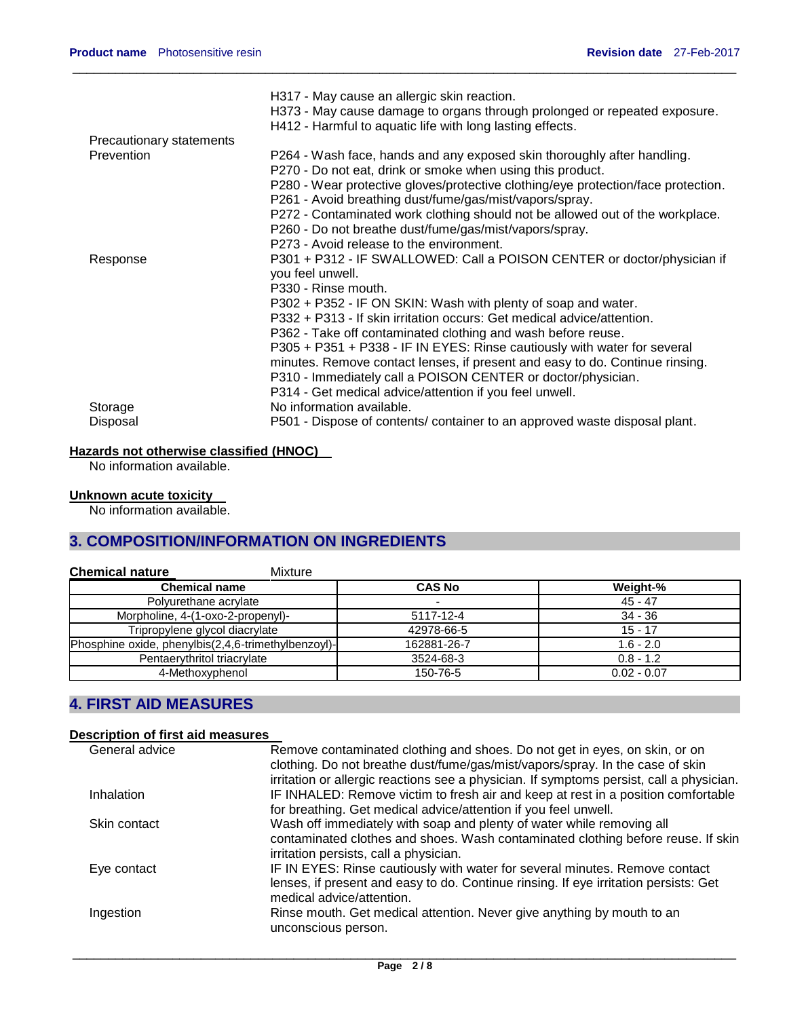|                          | H317 - May cause an allergic skin reaction.<br>H373 - May cause damage to organs through prolonged or repeated exposure.                                 |
|--------------------------|----------------------------------------------------------------------------------------------------------------------------------------------------------|
|                          | H412 - Harmful to aquatic life with long lasting effects.                                                                                                |
| Precautionary statements |                                                                                                                                                          |
| Prevention               | P264 - Wash face, hands and any exposed skin thoroughly after handling.<br>P270 - Do not eat, drink or smoke when using this product.                    |
|                          | P280 - Wear protective gloves/protective clothing/eye protection/face protection.                                                                        |
|                          | P261 - Avoid breathing dust/fume/gas/mist/vapors/spray.                                                                                                  |
|                          | P272 - Contaminated work clothing should not be allowed out of the workplace.                                                                            |
|                          | P260 - Do not breathe dust/fume/gas/mist/vapors/spray.<br>P273 - Avoid release to the environment.                                                       |
|                          |                                                                                                                                                          |
| Response                 | P301 + P312 - IF SWALLOWED: Call a POISON CENTER or doctor/physician if<br>you feel unwell.                                                              |
|                          | P330 - Rinse mouth.                                                                                                                                      |
|                          | P302 + P352 - IF ON SKIN: Wash with plenty of soap and water.                                                                                            |
|                          | P332 + P313 - If skin irritation occurs: Get medical advice/attention.                                                                                   |
|                          | P362 - Take off contaminated clothing and wash before reuse.                                                                                             |
|                          | P305 + P351 + P338 - IF IN EYES: Rinse cautiously with water for several<br>minutes. Remove contact lenses, if present and easy to do. Continue rinsing. |
|                          | P310 - Immediately call a POISON CENTER or doctor/physician.                                                                                             |
|                          | P314 - Get medical advice/attention if you feel unwell.                                                                                                  |
| Storage                  | No information available.                                                                                                                                |
| Disposal                 | P501 - Dispose of contents/ container to an approved waste disposal plant.                                                                               |

 $\_$  ,  $\_$  ,  $\_$  ,  $\_$  ,  $\_$  ,  $\_$  ,  $\_$  ,  $\_$  ,  $\_$  ,  $\_$  ,  $\_$  ,  $\_$  ,  $\_$  ,  $\_$  ,  $\_$  ,  $\_$  ,  $\_$  ,  $\_$  ,  $\_$  ,  $\_$  ,  $\_$  ,  $\_$  ,  $\_$  ,  $\_$  ,  $\_$  ,  $\_$  ,  $\_$  ,  $\_$  ,  $\_$  ,  $\_$  ,  $\_$  ,  $\_$  ,  $\_$  ,  $\_$  ,  $\_$  ,  $\_$  ,  $\_$  ,

## **Hazards not otherwise classified (HNOC)**

No information available.

### **Unknown acute toxicity**

No information available.

# **3. COMPOSITION/INFORMATION ON INGREDIENTS**

| <b>Chemical nature</b><br><b>Mixture</b>            |               |               |
|-----------------------------------------------------|---------------|---------------|
| <b>Chemical name</b>                                | <b>CAS No</b> | Weight-%      |
| Polyurethane acrylate                               |               | $45 - 47$     |
| Morpholine, 4-(1-oxo-2-propenyl)-                   | 5117-12-4     | 34 - 36       |
| Tripropylene glycol diacrylate                      | 42978-66-5    | $15 - 17$     |
| Phosphine oxide, phenylbis(2,4,6-trimethylbenzoyl)- | 162881-26-7   | $1.6 - 2.0$   |
| Pentaerythritol triacrylate                         | 3524-68-3     | $0.8 - 1.2$   |
| 4-Methoxyphenol                                     | 150-76-5      | $0.02 - 0.07$ |

# **4. FIRST AID MEASURES**

## **Description of first aid measures**

| General advice    | Remove contaminated clothing and shoes. Do not get in eyes, on skin, or on               |
|-------------------|------------------------------------------------------------------------------------------|
|                   | clothing. Do not breathe dust/fume/gas/mist/vapors/spray. In the case of skin            |
|                   | irritation or allergic reactions see a physician. If symptoms persist, call a physician. |
| <b>Inhalation</b> | IF INHALED: Remove victim to fresh air and keep at rest in a position comfortable        |
|                   | for breathing. Get medical advice/attention if you feel unwell.                          |
| Skin contact      | Wash off immediately with soap and plenty of water while removing all                    |
|                   | contaminated clothes and shoes. Wash contaminated clothing before reuse. If skin         |
|                   | irritation persists, call a physician.                                                   |
| Eye contact       | IF IN EYES: Rinse cautiously with water for several minutes. Remove contact              |
|                   | lenses, if present and easy to do. Continue rinsing. If eye irritation persists: Get     |
|                   | medical advice/attention.                                                                |
| Ingestion         | Rinse mouth. Get medical attention. Never give anything by mouth to an                   |
|                   | unconscious person.                                                                      |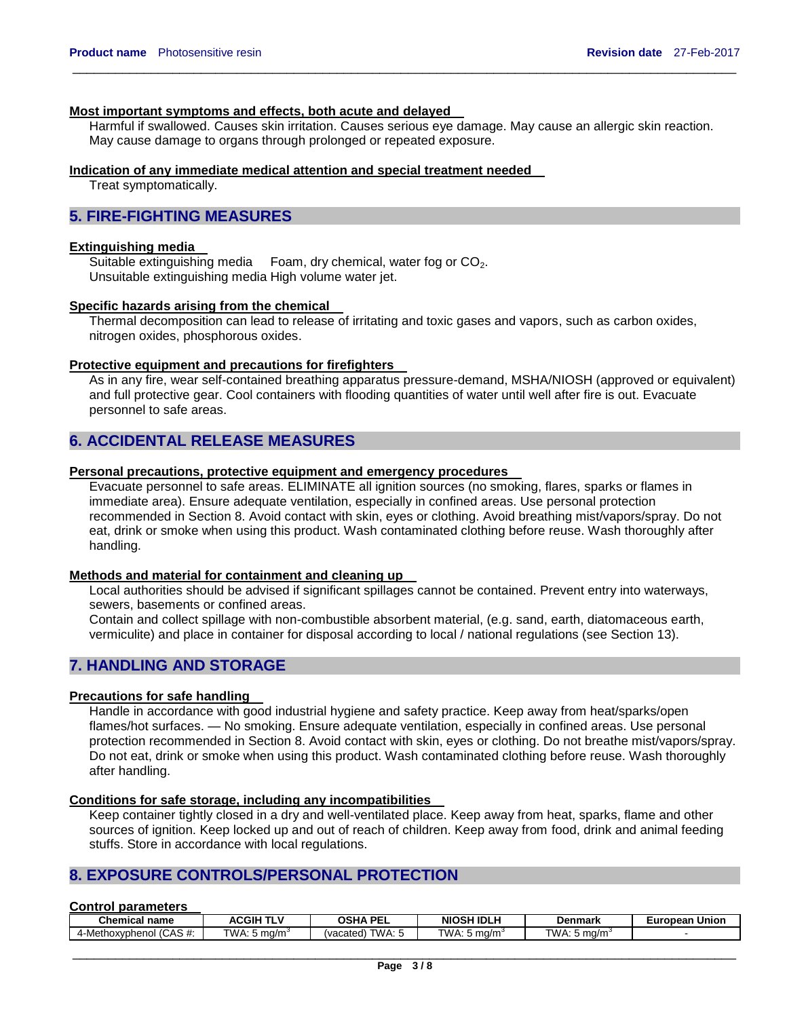#### **Most important symptoms and effects, both acute and delayed**

Harmful if swallowed. Causes skin irritation. Causes serious eye damage. May cause an allergic skin reaction. May cause damage to organs through prolonged or repeated exposure.

 $\_$  ,  $\_$  ,  $\_$  ,  $\_$  ,  $\_$  ,  $\_$  ,  $\_$  ,  $\_$  ,  $\_$  ,  $\_$  ,  $\_$  ,  $\_$  ,  $\_$  ,  $\_$  ,  $\_$  ,  $\_$  ,  $\_$  ,  $\_$  ,  $\_$  ,  $\_$  ,  $\_$  ,  $\_$  ,  $\_$  ,  $\_$  ,  $\_$  ,  $\_$  ,  $\_$  ,  $\_$  ,  $\_$  ,  $\_$  ,  $\_$  ,  $\_$  ,  $\_$  ,  $\_$  ,  $\_$  ,  $\_$  ,  $\_$  ,

### **Indication of any immediate medical attention and special treatment needed**

Treat symptomatically.

## **5. FIRE-FIGHTING MEASURES**

### **Extinguishing media**

Suitable extinguishing media Foam, dry chemical, water fog or CO<sub>2</sub>. Unsuitable extinguishing media High volume water jet.

#### **Specific hazards arising from the chemical**

Thermal decomposition can lead to release of irritating and toxic gases and vapors, such as carbon oxides, nitrogen oxides, phosphorous oxides.

#### **Protective equipment and precautions for firefighters**

As in any fire, wear self-contained breathing apparatus pressure-demand, MSHA/NIOSH (approved or equivalent) and full protective gear. Cool containers with flooding quantities of water until well after fire is out. Evacuate personnel to safe areas.

# **6. ACCIDENTAL RELEASE MEASURES**

#### **Personal precautions, protective equipment and emergency procedures**

Evacuate personnel to safe areas. ELIMINATE all ignition sources (no smoking, flares, sparks or flames in immediate area). Ensure adequate ventilation, especially in confined areas. Use personal protection recommended in Section 8. Avoid contact with skin, eyes or clothing. Avoid breathing mist/vapors/spray. Do not eat, drink or smoke when using this product. Wash contaminated clothing before reuse. Wash thoroughly after handling.

#### **Methods and material for containment and cleaning up**

Local authorities should be advised if significant spillages cannot be contained. Prevent entry into waterways, sewers, basements or confined areas.

Contain and collect spillage with non-combustible absorbent material, (e.g. sand, earth, diatomaceous earth, vermiculite) and place in container for disposal according to local / national regulations (see Section 13).

## **7. HANDLING AND STORAGE**

### **Precautions for safe handling**

Handle in accordance with good industrial hygiene and safety practice. Keep away from heat/sparks/open flames/hot surfaces. — No smoking. Ensure adequate ventilation, especially in confined areas. Use personal protection recommended in Section 8. Avoid contact with skin, eyes or clothing. Do not breathe mist/vapors/spray. Do not eat, drink or smoke when using this product. Wash contaminated clothing before reuse. Wash thoroughly after handling.

#### **Conditions for safe storage, including any incompatibilities**

Keep container tightly closed in a dry and well-ventilated place. Keep away from heat, sparks, flame and other sources of ignition. Keep locked up and out of reach of children. Keep away from food, drink and animal feeding stuffs. Store in accordance with local regulations.

## **8. EXPOSURE CONTROLS/PERSONAL PROTECTION**

#### **Control parameters**

| <b>Chemical name</b>                               | ACGIH TL <sup>v</sup>      | <b>PEL</b><br><b>OSHA</b> | <b>NIOSH IDLH</b> | Denmark        | . .<br>Union<br><i>Europear</i> |
|----------------------------------------------------|----------------------------|---------------------------|-------------------|----------------|---------------------------------|
| ۳۰ ۱۵ ۱۸<br>4-Methoxyphenol<br>יי <i>(ה</i> ש) ויי | TWA.<br>∵ma/m ر<br>$\cdot$ | TWA:<br>(vacated)         | TWA:<br>∶ma/m ر   | TWA.<br>, ma/m |                                 |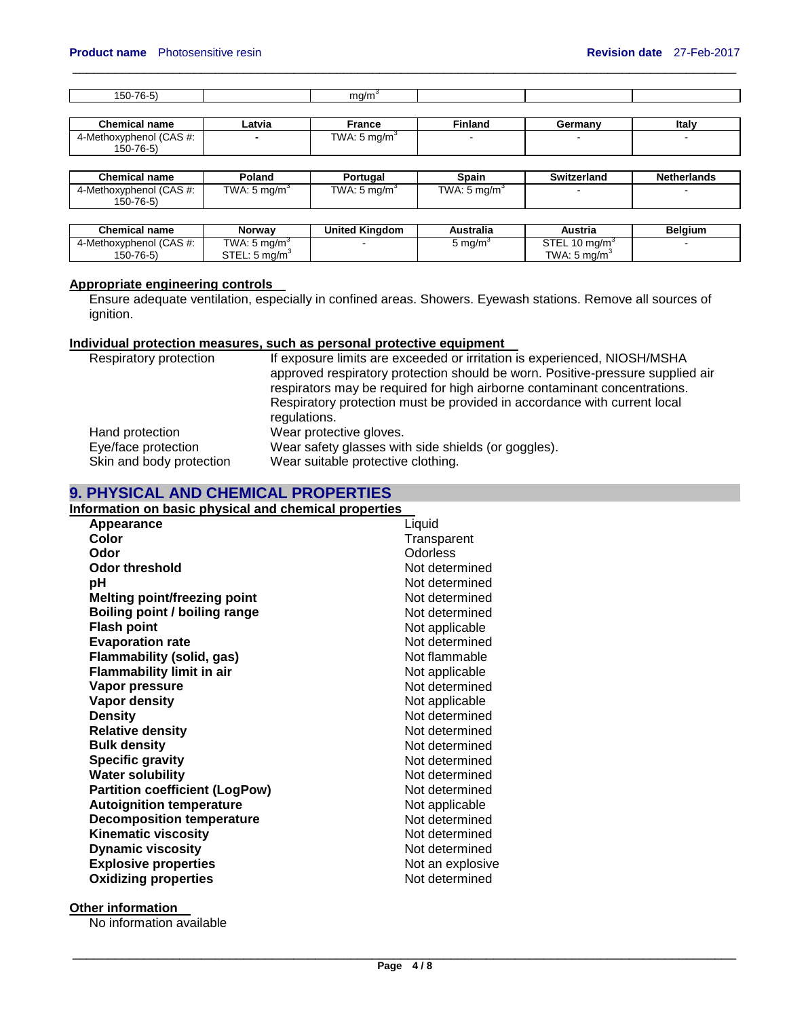| $\rightarrow$ $\rightarrow$<br>---<br>$\sim$ $\sim$ |  |  |
|-----------------------------------------------------|--|--|
|                                                     |  |  |

 $\_$  ,  $\_$  ,  $\_$  ,  $\_$  ,  $\_$  ,  $\_$  ,  $\_$  ,  $\_$  ,  $\_$  ,  $\_$  ,  $\_$  ,  $\_$  ,  $\_$  ,  $\_$  ,  $\_$  ,  $\_$  ,  $\_$  ,  $\_$  ,  $\_$  ,  $\_$  ,  $\_$  ,  $\_$  ,  $\_$  ,  $\_$  ,  $\_$  ,  $\_$  ,  $\_$  ,  $\_$  ,  $\_$  ,  $\_$  ,  $\_$  ,  $\_$  ,  $\_$  ,  $\_$  ,  $\_$  ,  $\_$  ,  $\_$  ,

| <b>Chemical name</b>    | _atvia | France                   | <b>Finland</b> | German⊻ | Italy |
|-------------------------|--------|--------------------------|----------------|---------|-------|
| 4-Methoxyphenol (CAS #: |        | TWA:<br>$5 \text{ ma/m}$ |                |         |       |
| 150-76-5)               |        |                          |                |         |       |

| <b>Chemical name</b>                      | Poland                 | Portugal               | Spain                   | Switzerland | <b>Netherlands</b> |
|-------------------------------------------|------------------------|------------------------|-------------------------|-------------|--------------------|
| 4-Methoxyphenol (CAS #:<br>$150 - 76 - 5$ | TWA: 5 mg/m $^{\circ}$ | TWA: 5 mg/m $^{\circ}$ | TWA: $5 \text{ mg/m}^3$ |             |                    |

| <b>Chemical name</b>    | Norwav                                   | <b>United Kinadom</b> | Australia | Austria                   | <b>Belaium</b> |
|-------------------------|------------------------------------------|-----------------------|-----------|---------------------------|----------------|
| 4-Methoxyphenol (CAS #: | TWA: 5 mg/m <sup>3</sup>                 |                       | ma/m`     | STEL<br>10 ma/m $\degree$ |                |
| 150-76-5)               | <b>CTEL</b><br>STEL: 5 ma/m <sup>3</sup> |                       |           | TWA: 5 ma/m <sup>3</sup>  |                |

# **Appropriate engineering controls**

**Ensure adequate ventilation, especially in confined areas. Showers. Eyewash stations. Remove all sources of** ignition.

## **Individual protection measures, such as personal protective equipment**

| Respiratory protection   | If exposure limits are exceeded or irritation is experienced, NIOSH/MSHA<br>approved respiratory protection should be worn. Positive-pressure supplied air<br>respirators may be required for high airborne contaminant concentrations. |
|--------------------------|-----------------------------------------------------------------------------------------------------------------------------------------------------------------------------------------------------------------------------------------|
|                          | Respiratory protection must be provided in accordance with current local<br>regulations.                                                                                                                                                |
| Hand protection          | Wear protective gloves.                                                                                                                                                                                                                 |
| Eye/face protection      | Wear safety glasses with side shields (or goggles).                                                                                                                                                                                     |
| Skin and body protection | Wear suitable protective clothing.                                                                                                                                                                                                      |

## **9. PHYSICAL AND CHEMICAL PROPERTIES**

## **Information on basic physical and chemical properties**

| Appearance                            | Liquid           |
|---------------------------------------|------------------|
| Color                                 | Transparent      |
| Odor                                  | <b>Odorless</b>  |
| Odor threshold                        | Not determined   |
| рH                                    | Not determined   |
| <b>Melting point/freezing point</b>   | Not determined   |
| Boiling point / boiling range         | Not determined   |
| <b>Flash point</b>                    | Not applicable   |
| <b>Evaporation rate</b>               | Not determined   |
| <b>Flammability (solid, gas)</b>      | Not flammable    |
| <b>Flammability limit in air</b>      | Not applicable   |
| Vapor pressure                        | Not determined   |
| <b>Vapor density</b>                  | Not applicable   |
| <b>Density</b>                        | Not determined   |
| <b>Relative density</b>               | Not determined   |
| <b>Bulk density</b>                   | Not determined   |
| <b>Specific gravity</b>               | Not determined   |
| <b>Water solubility</b>               | Not determined   |
| <b>Partition coefficient (LogPow)</b> | Not determined   |
| <b>Autoignition temperature</b>       | Not applicable   |
| <b>Decomposition temperature</b>      | Not determined   |
| <b>Kinematic viscosity</b>            | Not determined   |
| <b>Dynamic viscosity</b>              | Not determined   |
| <b>Explosive properties</b>           | Not an explosive |
| <b>Oxidizing properties</b>           | Not determined   |

## **Other information**

No information available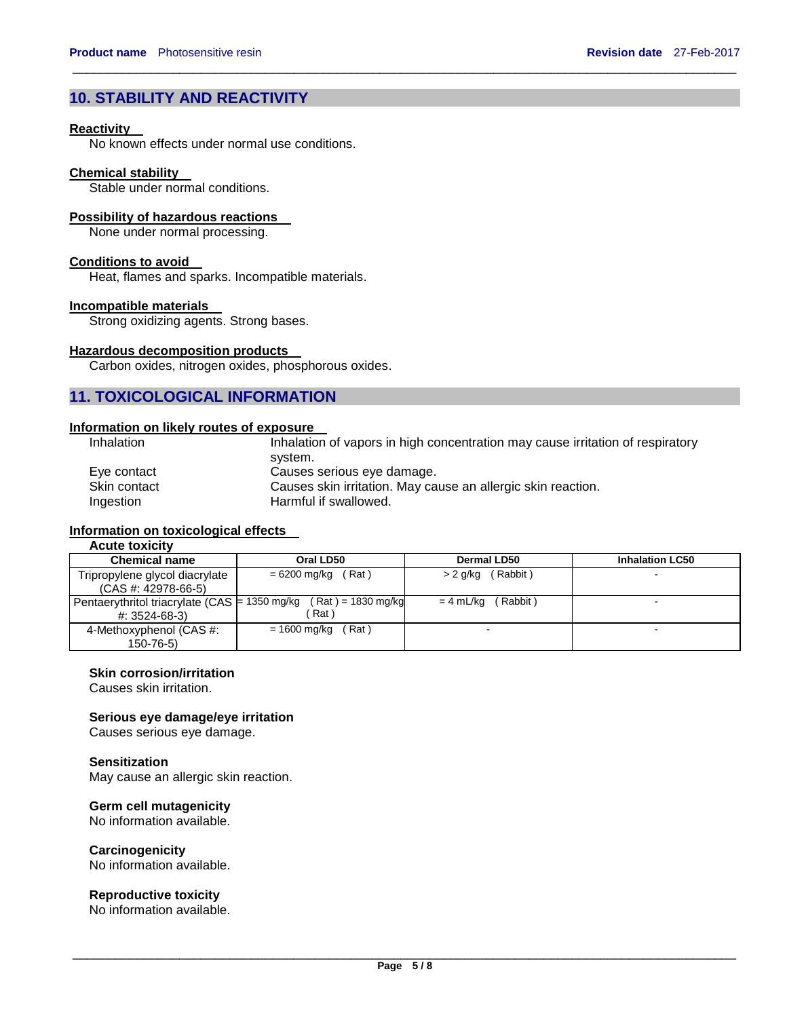# **10. STABILITY AND REACTIVITY**

### **Reactivity**

No known effects under normal use conditions.

#### **Chemical stability**

Stable under normal conditions.

### **Possibility of hazardous reactions**

None under normal processing.

### **Conditions to avoid**

Heat, flames and sparks. Incompatible materials.

#### **Incompatible materials**

Strong oxidizing agents. Strong bases.

### **Hazardous decomposition products**

Carbon oxides, nitrogen oxides, phosphorous oxides.

# **11. TOXICOLOGICAL INFORMATION**

### **Information on likely routes of exposure**

| Inhalation   | Inhalation of vapors in high concentration may cause irritation of respiratory |
|--------------|--------------------------------------------------------------------------------|
|              | svstem.                                                                        |
| Eve contact  | Causes serious eye damage.                                                     |
| Skin contact | Causes skin irritation. May cause an allergic skin reaction.                   |
| Ingestion    | Harmful if swallowed.                                                          |

 $\_$  ,  $\_$  ,  $\_$  ,  $\_$  ,  $\_$  ,  $\_$  ,  $\_$  ,  $\_$  ,  $\_$  ,  $\_$  ,  $\_$  ,  $\_$  ,  $\_$  ,  $\_$  ,  $\_$  ,  $\_$  ,  $\_$  ,  $\_$  ,  $\_$  ,  $\_$  ,  $\_$  ,  $\_$  ,  $\_$  ,  $\_$  ,  $\_$  ,  $\_$  ,  $\_$  ,  $\_$  ,  $\_$  ,  $\_$  ,  $\_$  ,  $\_$  ,  $\_$  ,  $\_$  ,  $\_$  ,  $\_$  ,  $\_$  ,

# **Information on toxicological effects**

# **Acute toxicity**

| <b>Chemical name</b>           | Oral LD50                                                            | Dermal LD50           | <b>Inhalation LC50</b> |
|--------------------------------|----------------------------------------------------------------------|-----------------------|------------------------|
| Tripropylene glycol diacrylate | (Rat)<br>$= 6200$ mg/kg                                              | (Rabbit)<br>> 2 g/kg  |                        |
| $(CAS #: 42978-66-5)$          |                                                                      |                       |                        |
|                                | Pentaerythritol triacrylate (CAS = $1350$ mg/kg (Rat) = $1830$ mg/kg | (Rabbit)<br>= 4 mL/kg |                        |
| #: 3524-68-3)                  | Rat)                                                                 |                       |                        |
| 4-Methoxyphenol (CAS #:        | (Rat)<br>= 1600 mg/kg                                                |                       |                        |
| $150 - 76 - 5$                 |                                                                      |                       |                        |

### **Skin corrosion/irritation**

Causes skin irritation.

### **Serious eye damage/eye irritation**

Causes serious eye damage.

### **Sensitization**

May cause an allergic skin reaction.

# **Germ cell mutagenicity**

No information available.

### **Carcinogenicity**

No information available.

### **Reproductive toxicity**

No information available.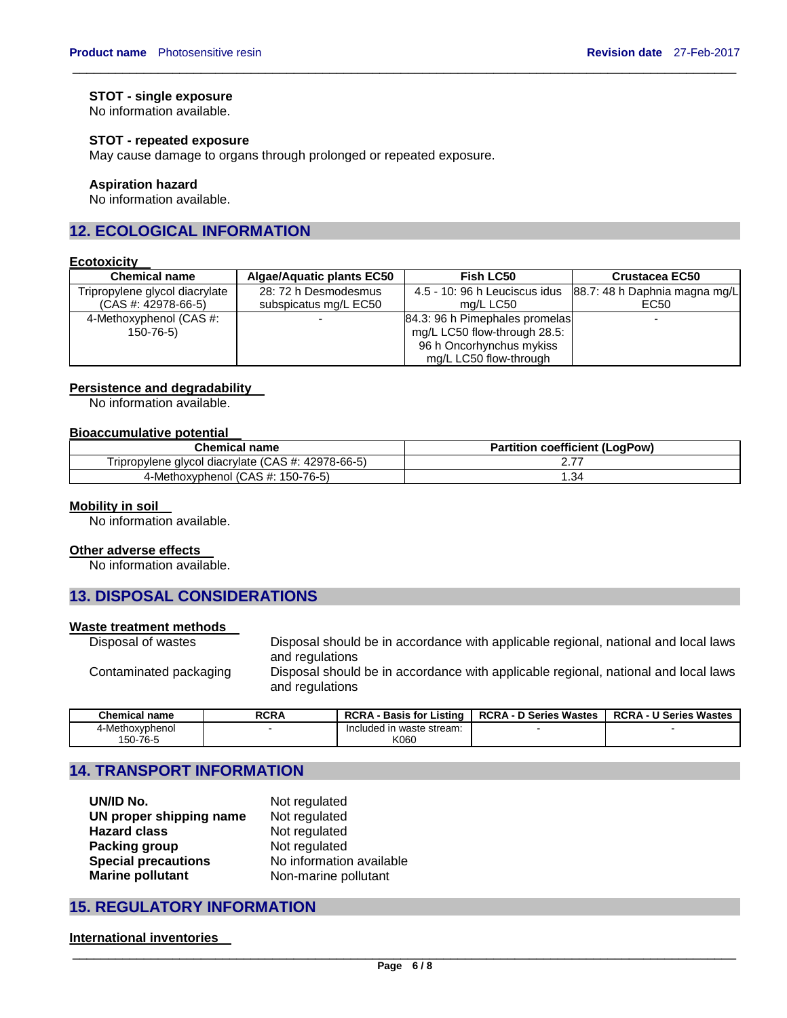## **STOT - single exposure**

No information available.

### **STOT - repeated exposure**

May cause damage to organs through prolonged or repeated exposure.

## **Aspiration hazard**

No information available.

# **12. ECOLOGICAL INFORMATION**

## **Ecotoxicity**

| <b>Chemical name</b>           | <b>Algae/Aquatic plants EC50</b> | <b>Fish LC50</b>               | <b>Crustacea EC50</b>         |
|--------------------------------|----------------------------------|--------------------------------|-------------------------------|
| Tripropylene glycol diacrylate | 28: 72 h Desmodesmus             | 4.5 - 10: 96 h Leuciscus idus  | 88.7: 48 h Daphnia magna mg/L |
| $(CAS #: 42978-66-5)$          | subspicatus mg/L EC50            | ma/L LC50                      | EC50                          |
| 4-Methoxyphenol (CAS #:        |                                  | 84.3: 96 h Pimephales promelas |                               |
| 150-76-5)                      |                                  | mg/L LC50 flow-through 28.5:   |                               |
|                                |                                  | 96 h Oncorhynchus mykiss       |                               |
|                                |                                  | mg/L LC50 flow-through         |                               |

 $\_$  ,  $\_$  ,  $\_$  ,  $\_$  ,  $\_$  ,  $\_$  ,  $\_$  ,  $\_$  ,  $\_$  ,  $\_$  ,  $\_$  ,  $\_$  ,  $\_$  ,  $\_$  ,  $\_$  ,  $\_$  ,  $\_$  ,  $\_$  ,  $\_$  ,  $\_$  ,  $\_$  ,  $\_$  ,  $\_$  ,  $\_$  ,  $\_$  ,  $\_$  ,  $\_$  ,  $\_$  ,  $\_$  ,  $\_$  ,  $\_$  ,  $\_$  ,  $\_$  ,  $\_$  ,  $\_$  ,  $\_$  ,  $\_$  ,

### **Persistence and degradability**

No information available.

### **Bioaccumulative potential**

| <b>Chemical name</b>                               | <b>Partition coefficient (LogPow)</b> |
|----------------------------------------------------|---------------------------------------|
| Tripropylene glycol diacrylate (CAS #: 42978-66-5) |                                       |
| 4-Methoxyphenol (CAS #: 150-76-5)                  | .34                                   |

### **Mobility in soil**

No information available.

### **Other adverse effects**

No information available.

# **13. DISPOSAL CONSIDERATIONS**

#### **Waste treatment methods**

| Disposal of wastes     | Disposal should be in accordance with applicable regional, national and local laws |
|------------------------|------------------------------------------------------------------------------------|
|                        | and regulations                                                                    |
| Contaminated packaging | Disposal should be in accordance with applicable regional, national and local laws |
|                        | and regulations                                                                    |

| <b>Chemical name</b> | <b>RCRA</b> | <b>RCRA - Basis for Listing</b> | <b>RCRA - D Series Wastes</b> | <b>RCRA - U Series Wastes</b> |
|----------------------|-------------|---------------------------------|-------------------------------|-------------------------------|
| 4-Methoxvphenol      |             | Included in waste stream:       |                               |                               |
| 150-76-5             |             | K060                            |                               |                               |

# **14. TRANSPORT INFORMATION**

| UN/ID No.                  | Not regulated            |
|----------------------------|--------------------------|
| UN proper shipping name    | Not regulated            |
| <b>Hazard class</b>        | Not regulated            |
| Packing group              | Not regulated            |
| <b>Special precautions</b> | No information available |
| <b>Marine pollutant</b>    | Non-marine pollutant     |

# **15. REGULATORY INFORMATION**

### **International inventories**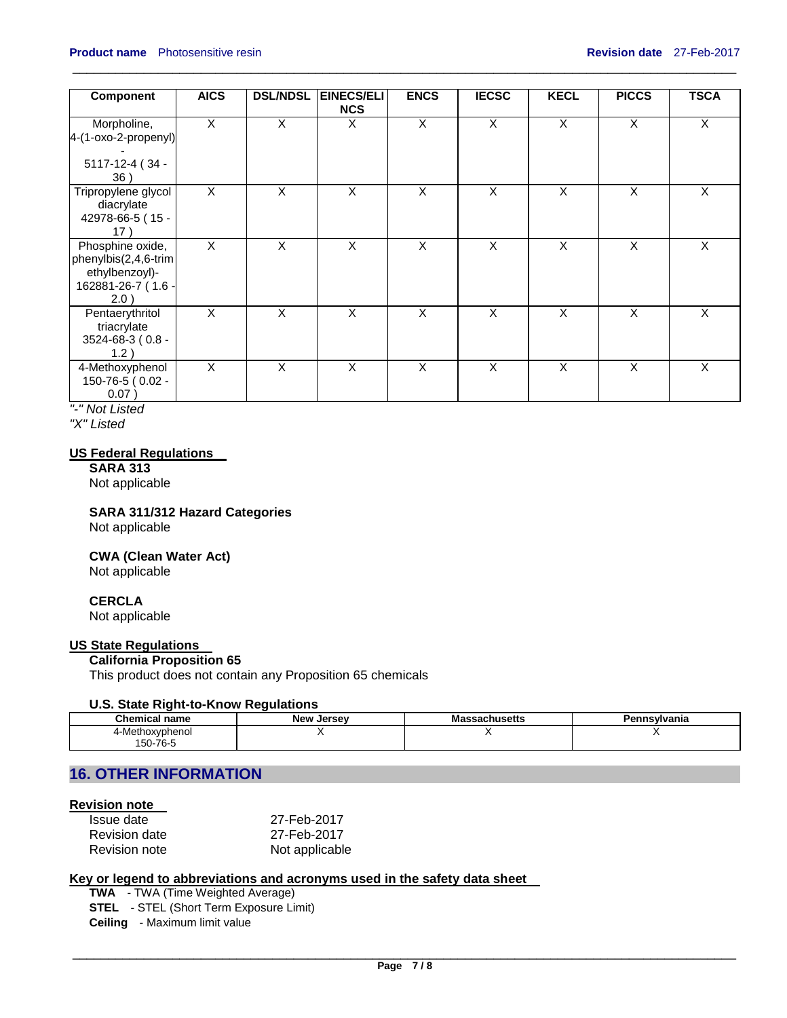| <b>Component</b>                                                                         | <b>AICS</b>  | <b>DSL/NDSL</b>         | <b>EINECS/ELI</b><br><b>NCS</b> | <b>ENCS</b>             | <b>IECSC</b>   | <b>KECL</b> | <b>PICCS</b> | <b>TSCA</b> |
|------------------------------------------------------------------------------------------|--------------|-------------------------|---------------------------------|-------------------------|----------------|-------------|--------------|-------------|
| Morpholine,<br>4-(1-oxo-2-propenyl)<br>5117-12-4 (34 -<br>36)                            | X            | $\overline{\mathsf{x}}$ | X                               | $\overline{\mathsf{x}}$ | $\overline{X}$ | X           | X            | X           |
| Tripropylene glycol<br>diacrylate<br>42978-66-5 (15 -<br>17)                             | X            | X                       | X                               | X                       | X              | X           | X            | X           |
| Phosphine oxide,<br>phenylbis(2,4,6-trim<br>ethylbenzoyl)-<br>162881-26-7 (1.6 -<br>2.0) | $\mathsf{X}$ | X                       | X                               | X                       | X              | X           | X            | X           |
| Pentaerythritol<br>triacrylate<br>3524-68-3 (0.8 -<br>1.2)                               | X            | X                       | $\times$                        | X                       | X              | $\times$    | X            | X           |
| 4-Methoxyphenol<br>150-76-5 (0.02 -<br>0.07)                                             | X            | X                       | X                               | X                       | X              | X           | X            | X           |

 $\_$  ,  $\_$  ,  $\_$  ,  $\_$  ,  $\_$  ,  $\_$  ,  $\_$  ,  $\_$  ,  $\_$  ,  $\_$  ,  $\_$  ,  $\_$  ,  $\_$  ,  $\_$  ,  $\_$  ,  $\_$  ,  $\_$  ,  $\_$  ,  $\_$  ,  $\_$  ,  $\_$  ,  $\_$  ,  $\_$  ,  $\_$  ,  $\_$  ,  $\_$  ,  $\_$  ,  $\_$  ,  $\_$  ,  $\_$  ,  $\_$  ,  $\_$  ,  $\_$  ,  $\_$  ,  $\_$  ,  $\_$  ,  $\_$  ,

*"-" Not Listed* 

*"X" Listed* 

### **US Federal Regulations**

**SARA 313**  Not applicable

**SARA 311/312 Hazard Categories** 

Not applicable

**CWA (Clean Water Act)** 

Not applicable

## **CERCLA**

Not applicable

## **US State Regulations**

# **California Proposition 65**

This product does not contain any Proposition 65 chemicals

### **U.S. State Right-to-Know Regulations**

| <b>Chemical name</b> | <b>New</b><br>. Jersev | Massachusetts | าทรงIvania |
|----------------------|------------------------|---------------|------------|
| 4-Methoxyphenol      |                        |               |            |
| 150-76-5             |                        |               |            |

# **16. OTHER INFORMATION**

# **Revision note**

| Issue date    | 27-Feb-2017    |
|---------------|----------------|
| Revision date | 27-Feb-2017    |
| Revision note | Not applicable |

# **Key or legend to abbreviations and acronyms used in the safety data sheet**

**TWA** - TWA (Time Weighted Average) **STEL** - STEL (Short Term Exposure Limit) **Ceiling** - Maximum limit value